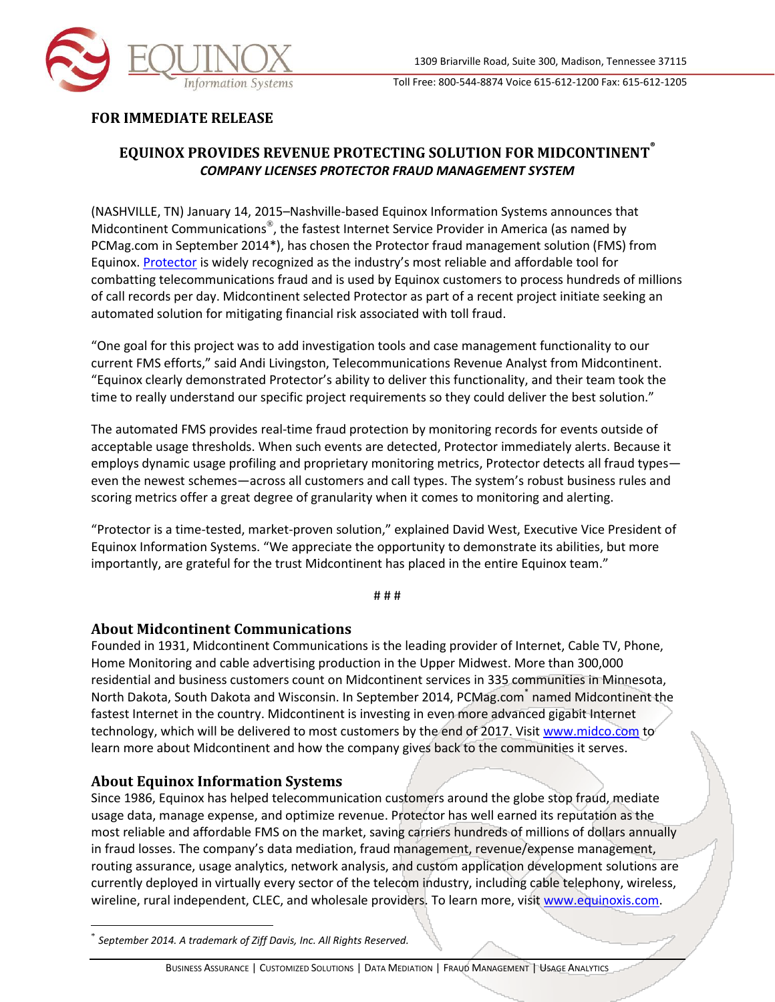

Toll Free: 800-544-8874 Voice 615-612-1200 Fax: 615-612-1205

## **FOR IMMEDIATE RELEASE**

## **EQUINOX PROVIDES REVENUE PROTECTING SOLUTION FOR MIDCONTINENT ®** *COMPANY LICENSES PROTECTOR FRAUD MANAGEMENT SYSTEM*

(NASHVILLE, TN) January 14, 2015–Nashville-based Equinox Information Systems announces that Midcontinent Communications®, the fastest Internet Service Provider in America (as named by PCMag.com in September 2014\*), has chosen the Protector fraud management solution (FMS) from Equinox. [Protector](http://www.equinoxis.com/fraud-management.php) is widely recognized as the industry's most reliable and affordable tool for combatting telecommunications fraud and is used by Equinox customers to process hundreds of millions of call records per day. Midcontinent selected Protector as part of a recent project initiate seeking an automated solution for mitigating financial risk associated with toll fraud.

"One goal for this project was to add investigation tools and case management functionality to our current FMS efforts," said Andi Livingston, Telecommunications Revenue Analyst from Midcontinent. "Equinox clearly demonstrated Protector's ability to deliver this functionality, and their team took the time to really understand our specific project requirements so they could deliver the best solution."

The automated FMS provides real-time fraud protection by monitoring records for events outside of acceptable usage thresholds. When such events are detected, Protector immediately alerts. Because it employs dynamic usage profiling and proprietary monitoring metrics, Protector detects all fraud types even the newest schemes—across all customers and call types. The system's robust business rules and scoring metrics offer a great degree of granularity when it comes to monitoring and alerting.

"Protector is a time-tested, market-proven solution," explained David West, Executive Vice President of Equinox Information Systems. "We appreciate the opportunity to demonstrate its abilities, but more importantly, are grateful for the trust Midcontinent has placed in the entire Equinox team."

# # #

## **About Midcontinent Communications**

Founded in 1931, Midcontinent Communications is the leading provider of Internet, Cable TV, Phone, Home Monitoring and cable advertising production in the Upper Midwest. More than 300,000 residential and business customers count on Midcontinent services in 335 communities in Minnesota, North Dakota, South Dakota and Wisconsin. In September 2014, PCMag.com<sup>\*</sup> named Midcontinent the fastest Internet in the country. Midcontinent is investing in even more advanced gigabit Internet technology, which will be delivered to most customers by the end of 2017. Visit [www.midco.com](http://www.midco.com/) to learn more about Midcontinent and how the company gives back to the communities it serves.

## **About Equinox Information Systems**

 $\overline{a}$ 

Since 1986, Equinox has helped telecommunication customers around the globe stop fraud, mediate usage data, manage expense, and optimize revenue. Protector has well earned its reputation as the most reliable and affordable FMS on the market, saving carriers hundreds of millions of dollars annually in fraud losses. The company's data mediation, fraud management, revenue/expense management, routing assurance, usage analytics, network analysis, and custom application development solutions are currently deployed in virtually every sector of the telecom industry, including cable telephony, wireless, wireline, rural independent, CLEC, and wholesale providers. To learn more, visit [www.equinoxis.com.](http://www.equinoxis.com/)

<sup>\*</sup> *September 2014. A trademark of Ziff Davis, Inc. All Rights Reserved.*